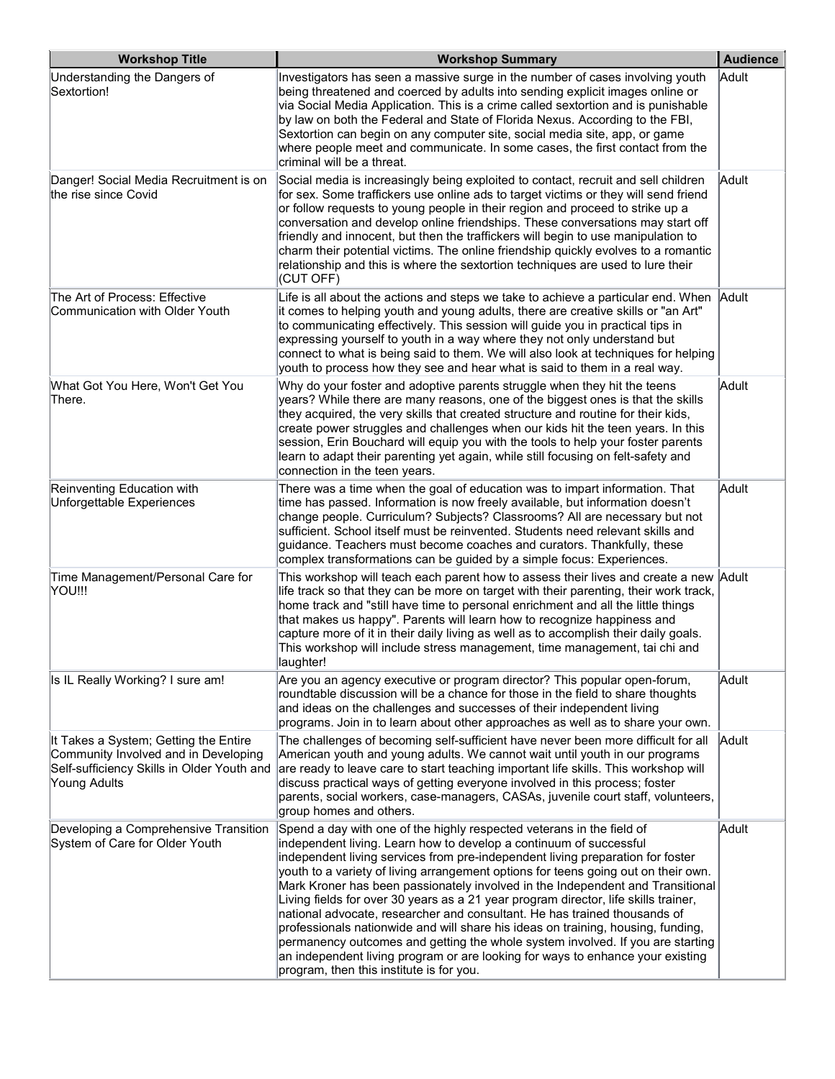| <b>Workshop Title</b>                                                                                                                       | <b>Workshop Summary</b>                                                                                                                                                                                                                                                                                                                                                                                                                                                                                                                                                                                                                                                                                                                                                                                                                                                       | <b>Audience</b> |
|---------------------------------------------------------------------------------------------------------------------------------------------|-------------------------------------------------------------------------------------------------------------------------------------------------------------------------------------------------------------------------------------------------------------------------------------------------------------------------------------------------------------------------------------------------------------------------------------------------------------------------------------------------------------------------------------------------------------------------------------------------------------------------------------------------------------------------------------------------------------------------------------------------------------------------------------------------------------------------------------------------------------------------------|-----------------|
| Understanding the Dangers of<br>Sextortion!                                                                                                 | Investigators has seen a massive surge in the number of cases involving youth<br>being threatened and coerced by adults into sending explicit images online or<br>via Social Media Application. This is a crime called sextortion and is punishable<br>by law on both the Federal and State of Florida Nexus. According to the FBI,<br>Sextortion can begin on any computer site, social media site, app, or game<br>where people meet and communicate. In some cases, the first contact from the<br>criminal will be a threat.                                                                                                                                                                                                                                                                                                                                               | Adult           |
| Danger! Social Media Recruitment is on<br>the rise since Covid                                                                              | Social media is increasingly being exploited to contact, recruit and sell children<br>for sex. Some traffickers use online ads to target victims or they will send friend<br>or follow requests to young people in their region and proceed to strike up a<br>conversation and develop online friendships. These conversations may start off<br>friendly and innocent, but then the traffickers will begin to use manipulation to<br>charm their potential victims. The online friendship quickly evolves to a romantic<br>relationship and this is where the sextortion techniques are used to lure their<br>(CUT OFF)                                                                                                                                                                                                                                                       | Adult           |
| The Art of Process: Effective<br>Communication with Older Youth                                                                             | Life is all about the actions and steps we take to achieve a particular end. When $\,$ Adult<br>it comes to helping youth and young adults, there are creative skills or "an Art"<br>to communicating effectively. This session will guide you in practical tips in<br>expressing yourself to youth in a way where they not only understand but<br>connect to what is being said to them. We will also look at techniques for helping<br>youth to process how they see and hear what is said to them in a real way.                                                                                                                                                                                                                                                                                                                                                           |                 |
| What Got You Here, Won't Get You<br>There.                                                                                                  | Why do your foster and adoptive parents struggle when they hit the teens<br>years? While there are many reasons, one of the biggest ones is that the skills<br>they acquired, the very skills that created structure and routine for their kids,<br>create power struggles and challenges when our kids hit the teen years. In this<br>session, Erin Bouchard will equip you with the tools to help your foster parents<br>learn to adapt their parenting yet again, while still focusing on felt-safety and<br>connection in the teen years.                                                                                                                                                                                                                                                                                                                                 | Adult           |
| Reinventing Education with<br>Unforgettable Experiences                                                                                     | There was a time when the goal of education was to impart information. That<br>time has passed. Information is now freely available, but information doesn't<br>change people. Curriculum? Subjects? Classrooms? All are necessary but not<br>sufficient. School itself must be reinvented. Students need relevant skills and<br>guidance. Teachers must become coaches and curators. Thankfully, these<br>complex transformations can be guided by a simple focus: Experiences.                                                                                                                                                                                                                                                                                                                                                                                              | Adult           |
| Time Management/Personal Care for<br>YOU!!!                                                                                                 | This workshop will teach each parent how to assess their lives and create a new Adult<br>life track so that they can be more on target with their parenting, their work track,<br>home track and "still have time to personal enrichment and all the little things<br>that makes us happy". Parents will learn how to recognize happiness and<br>capture more of it in their daily living as well as to accomplish their daily goals.<br>This workshop will include stress management, time management, tai chi and<br>laughter!                                                                                                                                                                                                                                                                                                                                              |                 |
| Is IL Really Working? I sure am!                                                                                                            | Are you an agency executive or program director? This popular open-forum,<br>roundtable discussion will be a chance for those in the field to share thoughts<br>and ideas on the challenges and successes of their independent living<br>programs. Join in to learn about other approaches as well as to share your own.                                                                                                                                                                                                                                                                                                                                                                                                                                                                                                                                                      | Adult           |
| It Takes a System; Getting the Entire<br>Community Involved and in Developing<br>Self-sufficiency Skills in Older Youth and<br>Young Adults | The challenges of becoming self-sufficient have never been more difficult for all<br>American youth and young adults. We cannot wait until youth in our programs<br>are ready to leave care to start teaching important life skills. This workshop will<br>discuss practical ways of getting everyone involved in this process; foster<br>parents, social workers, case-managers, CASAs, juvenile court staff, volunteers,<br>group homes and others.                                                                                                                                                                                                                                                                                                                                                                                                                         | Adult           |
| Developing a Comprehensive Transition<br>System of Care for Older Youth                                                                     | Spend a day with one of the highly respected veterans in the field of<br>independent living. Learn how to develop a continuum of successful<br>independent living services from pre-independent living preparation for foster<br>youth to a variety of living arrangement options for teens going out on their own.<br>Mark Kroner has been passionately involved in the Independent and Transitional<br>Living fields for over 30 years as a 21 year program director, life skills trainer,<br>national advocate, researcher and consultant. He has trained thousands of<br>professionals nationwide and will share his ideas on training, housing, funding,<br>permanency outcomes and getting the whole system involved. If you are starting<br>an independent living program or are looking for ways to enhance your existing<br>program, then this institute is for you. | Adult           |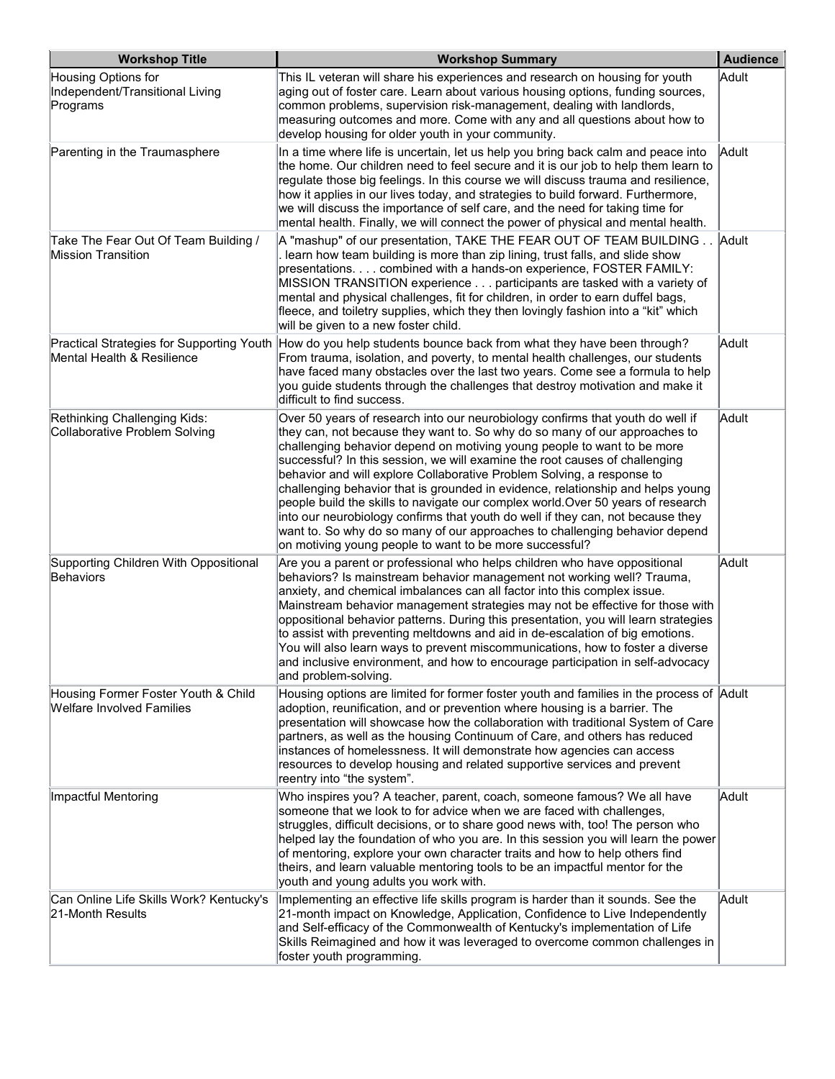| <b>Workshop Title</b>                                                   | <b>Workshop Summary</b>                                                                                                                                                                                                                                                                                                                                                                                                                                                                                                                                                                                                                                                                                                                                                                              | <b>Audience</b> |
|-------------------------------------------------------------------------|------------------------------------------------------------------------------------------------------------------------------------------------------------------------------------------------------------------------------------------------------------------------------------------------------------------------------------------------------------------------------------------------------------------------------------------------------------------------------------------------------------------------------------------------------------------------------------------------------------------------------------------------------------------------------------------------------------------------------------------------------------------------------------------------------|-----------------|
| Housing Options for<br>Independent/Transitional Living<br>Programs      | This IL veteran will share his experiences and research on housing for youth<br>aging out of foster care. Learn about various housing options, funding sources,<br>common problems, supervision risk-management, dealing with landlords,<br>measuring outcomes and more. Come with any and all questions about how to<br>develop housing for older youth in your community.                                                                                                                                                                                                                                                                                                                                                                                                                          | Adult           |
| Parenting in the Traumasphere                                           | In a time where life is uncertain, let us help you bring back calm and peace into<br>the home. Our children need to feel secure and it is our job to help them learn to<br>regulate those big feelings. In this course we will discuss trauma and resilience,<br>how it applies in our lives today, and strategies to build forward. Furthermore,<br>we will discuss the importance of self care, and the need for taking time for<br>$ $ mental health. Finally, we will connect the power of physical and mental health.                                                                                                                                                                                                                                                                           | Adult           |
| Take The Fear Out Of Team Building /<br><b>Mission Transition</b>       | A "mashup" of our presentation, TAKE THE FEAR OUT OF TEAM BUILDING.<br>. learn how team building is more than zip lining, trust falls, and slide show<br>presentations combined with a hands-on experience, FOSTER FAMILY:<br>MISSION TRANSITION experience participants are tasked with a variety of<br>mental and physical challenges, fit for children, in order to earn duffel bags,<br>fleece, and toiletry supplies, which they then lovingly fashion into a "kit" which<br>will be given to a new foster child.                                                                                                                                                                                                                                                                               | Adult           |
| Mental Health & Resilience                                              | Practical Strategies for Supporting Youth How do you help students bounce back from what they have been through?<br>From trauma, isolation, and poverty, to mental health challenges, our students<br>have faced many obstacles over the last two years. Come see a formula to help<br>you guide students through the challenges that destroy motivation and make it<br>difficult to find success.                                                                                                                                                                                                                                                                                                                                                                                                   | Adult           |
| Rethinking Challenging Kids:<br>Collaborative Problem Solving           | Over 50 years of research into our neurobiology confirms that youth do well if<br>they can, not because they want to. So why do so many of our approaches to<br>challenging behavior depend on motiving young people to want to be more<br>successful? In this session, we will examine the root causes of challenging<br>behavior and will explore Collaborative Problem Solving, a response to<br>challenging behavior that is grounded in evidence, relationship and helps young<br>people build the skills to navigate our complex world. Over 50 years of research<br>into our neurobiology confirms that youth do well if they can, not because they<br>want to. So why do so many of our approaches to challenging behavior depend<br>on motiving young people to want to be more successful? | Adult           |
| Supporting Children With Oppositional<br>Behaviors                      | Are you a parent or professional who helps children who have oppositional<br>behaviors? Is mainstream behavior management not working well? Trauma,<br>anxiety, and chemical imbalances can all factor into this complex issue.<br>Mainstream behavior management strategies may not be effective for those with<br>oppositional behavior patterns. During this presentation, you will learn strategies<br>to assist with preventing meltdowns and aid in de-escalation of big emotions.<br>You will also learn ways to prevent miscommunications, how to foster a diverse<br>and inclusive environment, and how to encourage participation in self-advocacy<br>and problem-solving.                                                                                                                 | Adult           |
| Housing Former Foster Youth & Child<br><b>Welfare Involved Families</b> | Housing options are limited for former foster youth and families in the process of Adult<br>adoption, reunification, and or prevention where housing is a barrier. The<br>presentation will showcase how the collaboration with traditional System of Care<br>partners, as well as the housing Continuum of Care, and others has reduced<br>instances of homelessness. It will demonstrate how agencies can access<br>resources to develop housing and related supportive services and prevent<br>reentry into "the system".                                                                                                                                                                                                                                                                         |                 |
| Impactful Mentoring                                                     | Who inspires you? A teacher, parent, coach, someone famous? We all have<br>someone that we look to for advice when we are faced with challenges,<br>struggles, difficult decisions, or to share good news with, too! The person who<br>helped lay the foundation of who you are. In this session you will learn the power<br>of mentoring, explore your own character traits and how to help others find<br>theirs, and learn valuable mentoring tools to be an impactful mentor for the<br>youth and young adults you work with.                                                                                                                                                                                                                                                                    | Adult           |
| Can Online Life Skills Work? Kentucky's<br>21-Month Results             | Implementing an effective life skills program is harder than it sounds. See the<br>21-month impact on Knowledge, Application, Confidence to Live Independently<br>and Self-efficacy of the Commonwealth of Kentucky's implementation of Life<br>Skills Reimagined and how it was leveraged to overcome common challenges in<br>foster youth programming.                                                                                                                                                                                                                                                                                                                                                                                                                                             | Adult           |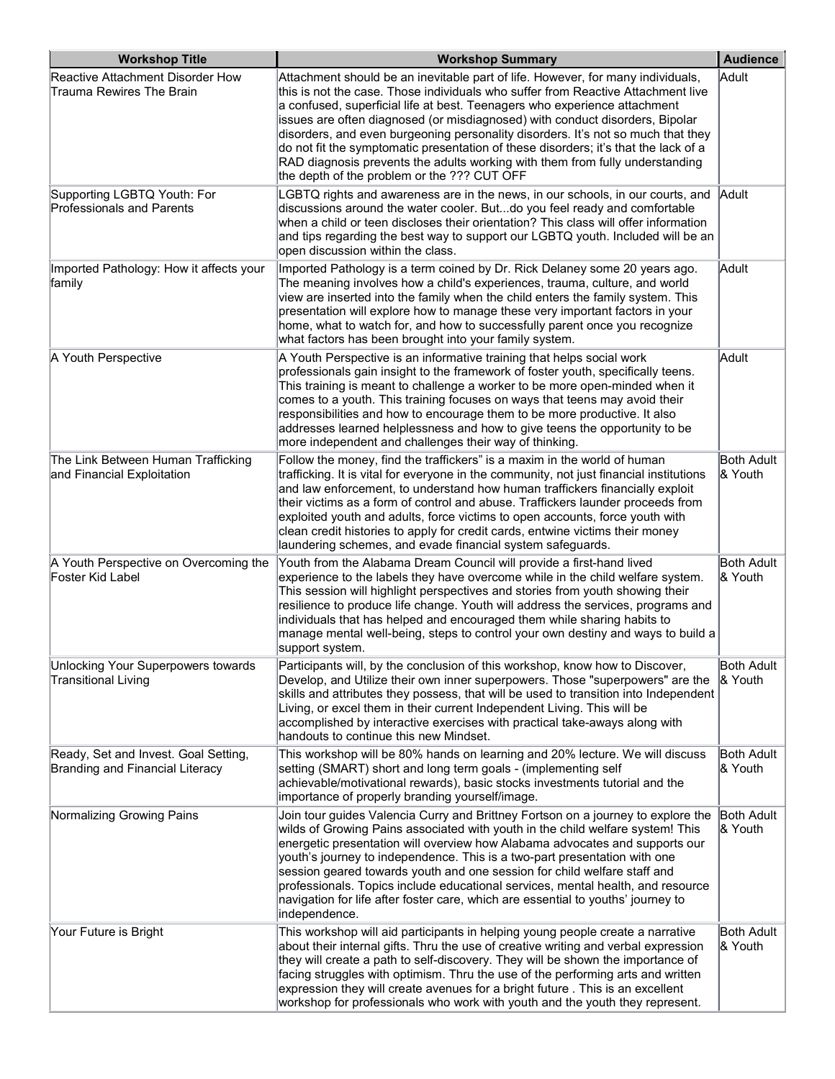| <b>Workshop Title</b>                                                   | <b>Workshop Summary</b>                                                                                                                                                                                                                                                                                                                                                                                                                                                                                                                                                                                                                    | <b>Audience</b>              |
|-------------------------------------------------------------------------|--------------------------------------------------------------------------------------------------------------------------------------------------------------------------------------------------------------------------------------------------------------------------------------------------------------------------------------------------------------------------------------------------------------------------------------------------------------------------------------------------------------------------------------------------------------------------------------------------------------------------------------------|------------------------------|
| Reactive Attachment Disorder How<br>Trauma Rewires The Brain            | Attachment should be an inevitable part of life. However, for many individuals,<br>this is not the case. Those individuals who suffer from Reactive Attachment live<br>a confused, superficial life at best. Teenagers who experience attachment<br>issues are often diagnosed (or misdiagnosed) with conduct disorders, Bipolar<br>disorders, and even burgeoning personality disorders. It's not so much that they<br>do not fit the symptomatic presentation of these disorders; it's that the lack of a<br>RAD diagnosis prevents the adults working with them from fully understanding<br>the depth of the problem or the ??? CUT OFF | Adult                        |
| Supporting LGBTQ Youth: For<br><b>Professionals and Parents</b>         | LGBTQ rights and awareness are in the news, in our schools, in our courts, and<br>discussions around the water cooler. Butdo you feel ready and comfortable<br>when a child or teen discloses their orientation? This class will offer information<br>and tips regarding the best way to support our LGBTQ youth. Included will be an<br>open discussion within the class.                                                                                                                                                                                                                                                                 | Adult                        |
| Imported Pathology: How it affects your<br>family                       | Imported Pathology is a term coined by Dr. Rick Delaney some 20 years ago.<br>The meaning involves how a child's experiences, trauma, culture, and world<br>view are inserted into the family when the child enters the family system. This<br>presentation will explore how to manage these very important factors in your<br>home, what to watch for, and how to successfully parent once you recognize<br>what factors has been brought into your family system.                                                                                                                                                                        | Adult                        |
| A Youth Perspective                                                     | A Youth Perspective is an informative training that helps social work<br>professionals gain insight to the framework of foster youth, specifically teens.<br>This training is meant to challenge a worker to be more open-minded when it<br>comes to a youth. This training focuses on ways that teens may avoid their<br>responsibilities and how to encourage them to be more productive. It also<br>addresses learned helplessness and how to give teens the opportunity to be<br>more independent and challenges their way of thinking.                                                                                                | Adult                        |
| The Link Between Human Trafficking<br>and Financial Exploitation        | Follow the money, find the traffickers" is a maxim in the world of human<br>trafficking. It is vital for everyone in the community, not just financial institutions<br>and law enforcement, to understand how human traffickers financially exploit<br>their victims as a form of control and abuse. Traffickers launder proceeds from<br>exploited youth and adults, force victims to open accounts, force youth with<br>clean credit histories to apply for credit cards, entwine victims their money<br>laundering schemes, and evade financial system safeguards.                                                                      | Both Adult<br>& Youth        |
| A Youth Perspective on Overcoming the<br>Foster Kid Label               | Youth from the Alabama Dream Council will provide a first-hand lived<br>experience to the labels they have overcome while in the child welfare system.<br>This session will highlight perspectives and stories from youth showing their<br>resilience to produce life change. Youth will address the services, programs and<br>individuals that has helped and encouraged them while sharing habits to<br>manage mental well-being, steps to control your own destiny and ways to build a<br>support system.                                                                                                                               | Both Adult<br>& Youth        |
| Unlocking Your Superpowers towards<br><b>Transitional Living</b>        | Participants will, by the conclusion of this workshop, know how to Discover,<br>Develop, and Utilize their own inner superpowers. Those "superpowers" are the<br>skills and attributes they possess, that will be used to transition into Independent<br>Living, or excel them in their current Independent Living. This will be<br>accomplished by interactive exercises with practical take-aways along with<br>handouts to continue this new Mindset.                                                                                                                                                                                   | Both Adult_<br>& Youth       |
| Ready, Set and Invest. Goal Setting,<br>Branding and Financial Literacy | This workshop will be 80% hands on learning and 20% lecture. We will discuss<br>setting (SMART) short and long term goals - (implementing self<br>achievable/motivational rewards), basic stocks investments tutorial and the<br>importance of properly branding yourself/image.                                                                                                                                                                                                                                                                                                                                                           | <b>Both Adult</b><br>& Youth |
| Normalizing Growing Pains                                               | Join tour guides Valencia Curry and Brittney Fortson on a journey to explore the<br>wilds of Growing Pains associated with youth in the child welfare system! This<br>energetic presentation will overview how Alabama advocates and supports our<br>youth's journey to independence. This is a two-part presentation with one<br>session geared towards youth and one session for child welfare staff and<br>professionals. Topics include educational services, mental health, and resource<br>navigation for life after foster care, which are essential to youths' journey to<br>independence.                                         | <b>Both Adult</b><br>& Youth |
| Your Future is Bright                                                   | This workshop will aid participants in helping young people create a narrative<br>about their internal gifts. Thru the use of creative writing and verbal expression<br>they will create a path to self-discovery. They will be shown the importance of<br>facing struggles with optimism. Thru the use of the performing arts and written<br>expression they will create avenues for a bright future. This is an excellent<br>workshop for professionals who work with youth and the youth they represent.                                                                                                                                | Both Adult<br>& Youth        |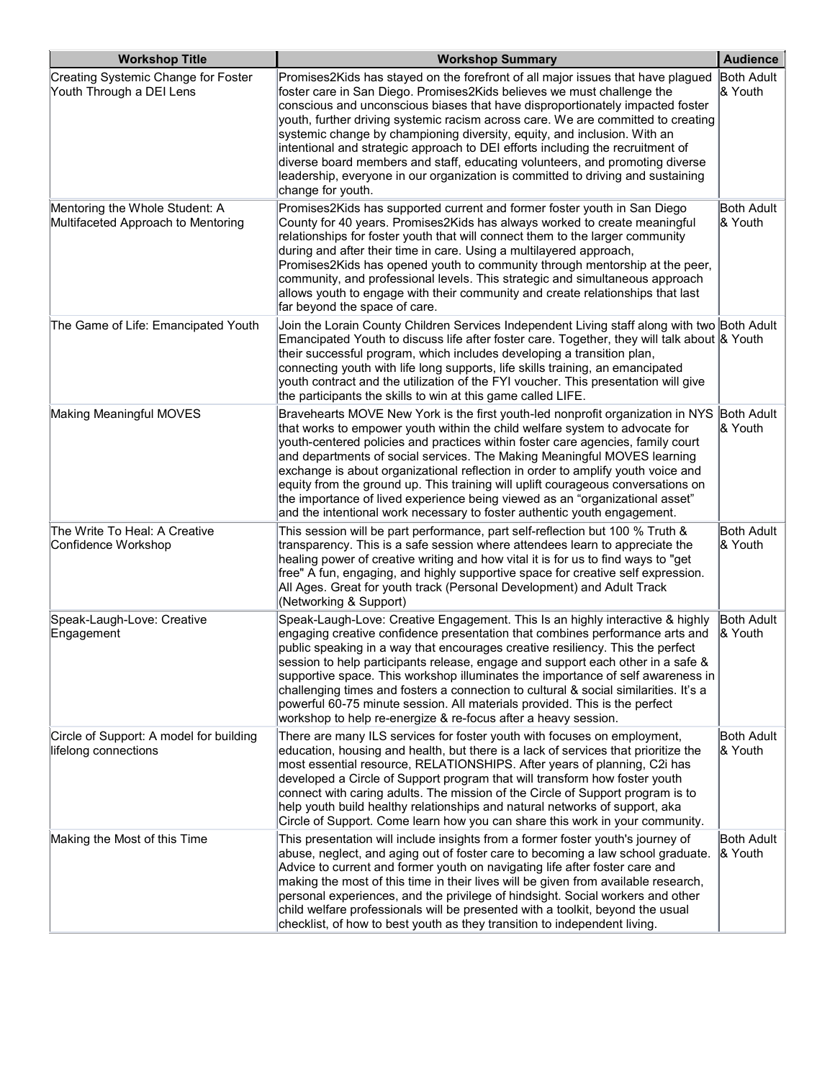| <b>Workshop Title</b>                                                | <b>Workshop Summary</b>                                                                                                                                                                                                                                                                                                                                                                                                                                                                                                                                                                                                                                                              | <b>Audience</b>                |
|----------------------------------------------------------------------|--------------------------------------------------------------------------------------------------------------------------------------------------------------------------------------------------------------------------------------------------------------------------------------------------------------------------------------------------------------------------------------------------------------------------------------------------------------------------------------------------------------------------------------------------------------------------------------------------------------------------------------------------------------------------------------|--------------------------------|
| Creating Systemic Change for Foster<br>Youth Through a DEI Lens      | Promises2Kids has stayed on the forefront of all major issues that have plagued<br>foster care in San Diego. Promises2Kids believes we must challenge the<br>conscious and unconscious biases that have disproportionately impacted foster<br>youth, further driving systemic racism across care. We are committed to creating<br>systemic change by championing diversity, equity, and inclusion. With an<br>intentional and strategic approach to DEI efforts including the recruitment of<br>diverse board members and staff, educating volunteers, and promoting diverse<br>leadership, everyone in our organization is committed to driving and sustaining<br>change for youth. | Both Adult<br>& Youth          |
| Mentoring the Whole Student: A<br>Multifaceted Approach to Mentoring | Promises2Kids has supported current and former foster youth in San Diego<br>County for 40 years. Promises2Kids has always worked to create meaningful<br>relationships for foster youth that will connect them to the larger community<br>during and after their time in care. Using a multilayered approach,<br>Promises2Kids has opened youth to community through mentorship at the peer,<br>community, and professional levels. This strategic and simultaneous approach<br>allows youth to engage with their community and create relationships that last<br>far beyond the space of care.                                                                                      | Both Adult<br>& Youth          |
| The Game of Life: Emancipated Youth                                  | Join the Lorain County Children Services Independent Living staff along with two Both Adult<br>Emancipated Youth to discuss life after foster care. Together, they will talk about & Youth<br>their successful program, which includes developing a transition plan,<br>connecting youth with life long supports, life skills training, an emancipated<br>youth contract and the utilization of the FYI voucher. This presentation will give<br>the participants the skills to win at this game called LIFE.                                                                                                                                                                         |                                |
| Making Meaningful MOVES                                              | Bravehearts MOVE New York is the first youth-led nonprofit organization in NYS Both Adult<br>that works to empower youth within the child welfare system to advocate for<br>youth-centered policies and practices within foster care agencies, family court<br>and departments of social services. The Making Meaningful MOVES learning<br>exchange is about organizational reflection in order to amplify youth voice and<br>equity from the ground up. This training will uplift courageous conversations on<br>the importance of lived experience being viewed as an "organizational asset"<br>and the intentional work necessary to foster authentic youth engagement.           | & Youth                        |
| The Write To Heal: A Creative<br>Confidence Workshop                 | This session will be part performance, part self-reflection but 100 % Truth &<br>transparency. This is a safe session where attendees learn to appreciate the<br>healing power of creative writing and how vital it is for us to find ways to "get<br>free" A fun, engaging, and highly supportive space for creative self expression.<br>All Ages. Great for youth track (Personal Development) and Adult Track<br>(Networking & Support)                                                                                                                                                                                                                                           | Both Adult<br>& Youth          |
| Speak-Laugh-Love: Creative<br>Engagement                             | Speak-Laugh-Love: Creative Engagement. This Is an highly interactive & highly<br>engaging creative confidence presentation that combines performance arts and<br>public speaking in a way that encourages creative resiliency. This the perfect<br>session to help participants release, engage and support each other in a safe &<br>supportive space. This workshop illuminates the importance of self awareness in<br>challenging times and fosters a connection to cultural & social similarities. It's a<br>powerful 60-75 minute session. All materials provided. This is the perfect<br>workshop to help re-energize & re-focus after a heavy session.                        | <b>Both Adult</b><br>l& Youth∶ |
| Circle of Support: A model for building<br>lifelong connections      | There are many ILS services for foster youth with focuses on employment,<br>education, housing and health, but there is a lack of services that prioritize the<br>most essential resource, RELATIONSHIPS. After years of planning, C2i has<br>developed a Circle of Support program that will transform how foster youth<br>connect with caring adults. The mission of the Circle of Support program is to<br>help youth build healthy relationships and natural networks of support, aka<br>Circle of Support. Come learn how you can share this work in your community.                                                                                                            | Both Adult<br>& Youth          |
| Making the Most of this Time                                         | This presentation will include insights from a former foster youth's journey of<br>abuse, neglect, and aging out of foster care to becoming a law school graduate.<br>Advice to current and former youth on navigating life after foster care and<br>making the most of this time in their lives will be given from available research,<br>personal experiences, and the privilege of hindsight. Social workers and other<br>child welfare professionals will be presented with a toolkit, beyond the usual<br>checklist, of how to best youth as they transition to independent living.                                                                                             | Both Adult<br>& Youth          |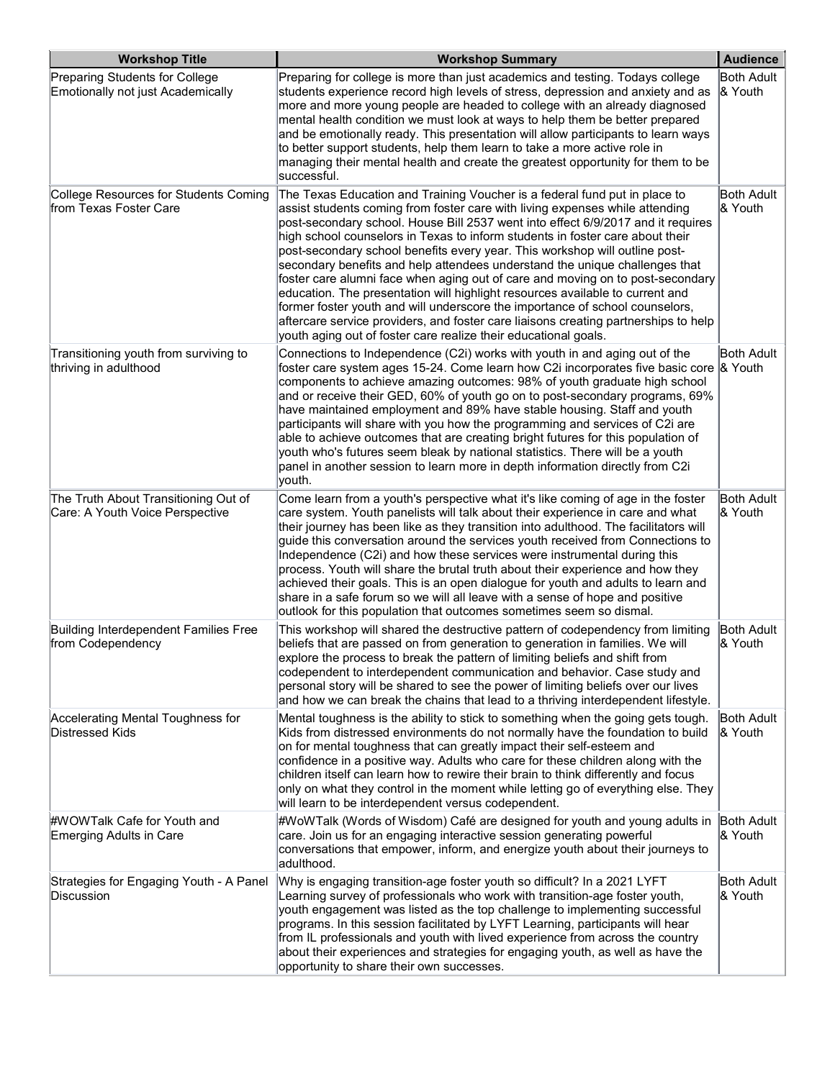| <b>Workshop Title</b>                                                   | <b>Workshop Summary</b>                                                                                                                                                                                                                                                                                                                                                                                                                                                                                                                                                                                                                                                                                                                                                                                                                                                                                    | <b>Audience</b>                   |
|-------------------------------------------------------------------------|------------------------------------------------------------------------------------------------------------------------------------------------------------------------------------------------------------------------------------------------------------------------------------------------------------------------------------------------------------------------------------------------------------------------------------------------------------------------------------------------------------------------------------------------------------------------------------------------------------------------------------------------------------------------------------------------------------------------------------------------------------------------------------------------------------------------------------------------------------------------------------------------------------|-----------------------------------|
| Preparing Students for College<br>Emotionally not just Academically     | Preparing for college is more than just academics and testing. Todays college<br>students experience record high levels of stress, depression and anxiety and as<br>more and more young people are headed to college with an already diagnosed<br>mental health condition we must look at ways to help them be better prepared<br>and be emotionally ready. This presentation will allow participants to learn ways<br>to better support students, help them learn to take a more active role in<br>managing their mental health and create the greatest opportunity for them to be<br>successful.                                                                                                                                                                                                                                                                                                         | Both Adult<br>$ 8 \text{ Youth} $ |
| College Resources for Students Coming<br>from Texas Foster Care         | The Texas Education and Training Voucher is a federal fund put in place to<br>assist students coming from foster care with living expenses while attending<br>post-secondary school. House Bill 2537 went into effect 6/9/2017 and it requires<br>high school counselors in Texas to inform students in foster care about their<br>post-secondary school benefits every year. This workshop will outline post-<br>secondary benefits and help attendees understand the unique challenges that<br>foster care alumni face when aging out of care and moving on to post-secondary<br>education. The presentation will highlight resources available to current and<br>former foster youth and will underscore the importance of school counselors,<br>aftercare service providers, and foster care liaisons creating partnerships to help<br>youth aging out of foster care realize their educational goals. | Both Adult<br>& Youth             |
| Transitioning youth from surviving to<br>thriving in adulthood          | Connections to Independence (C2i) works with youth in and aging out of the<br>foster care system ages 15-24. Come learn how C2i incorporates five basic core $ 8 \text{ Youth} $<br>components to achieve amazing outcomes: 98% of youth graduate high school<br>and or receive their GED, 60% of youth go on to post-secondary programs, 69%<br>have maintained employment and 89% have stable housing. Staff and youth<br>participants will share with you how the programming and services of C2i are<br>able to achieve outcomes that are creating bright futures for this population of<br>youth who's futures seem bleak by national statistics. There will be a youth<br>panel in another session to learn more in depth information directly from C2i<br>youth.                                                                                                                                    | Both Adult                        |
| The Truth About Transitioning Out of<br>Care: A Youth Voice Perspective | Come learn from a youth's perspective what it's like coming of age in the foster<br>care system. Youth panelists will talk about their experience in care and what<br>their journey has been like as they transition into adulthood. The facilitators will<br>guide this conversation around the services youth received from Connections to<br>Independence (C2i) and how these services were instrumental during this<br>process. Youth will share the brutal truth about their experience and how they<br>achieved their goals. This is an open dialogue for youth and adults to learn and<br>share in a safe forum so we will all leave with a sense of hope and positive<br>outlook for this population that outcomes sometimes seem so dismal.                                                                                                                                                       | Both Adult<br>& Youth             |
| <b>Building Interdependent Families Free</b><br>from Codependency       | This workshop will shared the destructive pattern of codependency from limiting<br>beliefs that are passed on from generation to generation in families. We will<br>explore the process to break the pattern of limiting beliefs and shift from<br>codependent to interdependent communication and behavior. Case study and<br>personal story will be shared to see the power of limiting beliefs over our lives<br>and how we can break the chains that lead to a thriving interdependent lifestyle.                                                                                                                                                                                                                                                                                                                                                                                                      | <b>Both Adult</b><br>l& Youth     |
| Accelerating Mental Toughness for<br><b>Distressed Kids</b>             | Mental toughness is the ability to stick to something when the going gets tough.<br>Kids from distressed environments do not normally have the foundation to build<br>on for mental toughness that can greatly impact their self-esteem and<br>confidence in a positive way. Adults who care for these children along with the<br>children itself can learn how to rewire their brain to think differently and focus<br>only on what they control in the moment while letting go of everything else. They<br>will learn to be interdependent versus codependent.                                                                                                                                                                                                                                                                                                                                           | <b>Both Adult</b><br>& Youth      |
| #WOWTalk Cafe for Youth and<br>Emerging Adults in Care                  | #WoWTalk (Words of Wisdom) Café are designed for youth and young adults in<br>care. Join us for an engaging interactive session generating powerful<br>conversations that empower, inform, and energize youth about their journeys to<br>adulthood.                                                                                                                                                                                                                                                                                                                                                                                                                                                                                                                                                                                                                                                        | <b>Both Adult</b><br>& Youth      |
| Strategies for Engaging Youth - A Panel<br>Discussion                   | Why is engaging transition-age foster youth so difficult? In a 2021 LYFT<br>Learning survey of professionals who work with transition-age foster youth,<br>youth engagement was listed as the top challenge to implementing successful<br>programs. In this session facilitated by LYFT Learning, participants will hear<br>from IL professionals and youth with lived experience from across the country<br>about their experiences and strategies for engaging youth, as well as have the<br>opportunity to share their own successes.                                                                                                                                                                                                                                                                                                                                                                   | Both Adult<br>& Youth             |